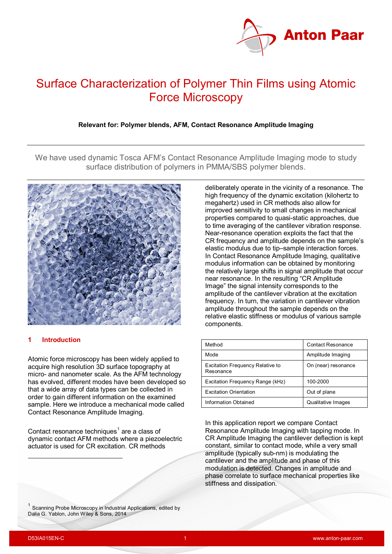

# Surface Characterization of Polymer Thin Films using Atomic Force Microscopy

**Relevant for: Polymer blends, AFM, Contact Resonance Amplitude Imaging**

We have used dynamic Tosca AFM's Contact Resonance Amplitude Imaging mode to study surface distribution of polymers in PMMA/SBS polymer blends.



# **1 Introduction**

Atomic force microscopy has been widely applied to acquire high resolution 3D surface topography at micro- and nanometer scale. As the AFM technology has evolved, different modes have been developed so that a wide array of data types can be collected in order to gain different information on the examined sample. Here we introduce a mechanical mode called Contact Resonance Amplitude Imaging.

Contact resonance techniques<sup>[1](#page-0-0)</sup> are a class of dynamic contact AFM methods where a piezoelectric actuator is used for CR excitation. CR methods

<span id="page-0-0"></span> $1$  Scanning Probe Microscopy in Industrial Applications, edited by Dalia G. Yablon, John Wiley & Sons, 2014

deliberately operate in the vicinity of a resonance. The high frequency of the dynamic excitation (kilohertz to megahertz) used in CR methods also allow for improved sensitivity to small changes in mechanical properties compared to quasi-static approaches, due to time averaging of the cantilever vibration response. Near-resonance operation exploits the fact that the CR frequency and amplitude depends on the sample's elastic modulus due to tip–sample interaction forces. In Contact Resonance Amplitude Imaging, qualitative modulus information can be obtained by monitoring the relatively large shifts in signal amplitude that occur near resonance. In the resulting "CR Amplitude Image" the signal intensity corresponds to the amplitude of the cantilever vibration at the excitation frequency. In turn, the variation in cantilever vibration amplitude throughout the sample depends on the relative elastic stiffness or modulus of various sample components.

| Method                                        | <b>Contact Resonance</b>  |
|-----------------------------------------------|---------------------------|
| Mode                                          | Amplitude Imaging         |
| Excitation Frequency Relative to<br>Resonance | On (near) resonance       |
| Excitation Frequency Range (kHz)              | 100-2000                  |
| <b>Excitation Orientation</b>                 | Out of plane              |
| <b>Information Obtained</b>                   | <b>Qualitative Images</b> |

In this application report we compare Contact Resonance Amplitude Imaging with tapping mode. In CR Amplitude Imaging the cantilever deflection is kept constant, similar to contact mode, while a very small amplitude (typically sub-nm) is modulating the cantilever and the amplitude and phase of this modulation is detected. Changes in amplitude and phase correlate to surface mechanical properties like stiffness and dissipation.

-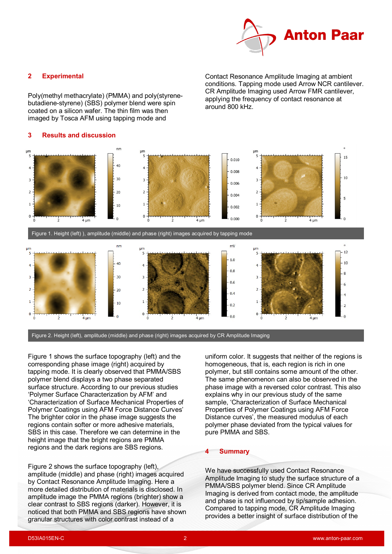

## **2 Experimental**

Poly(methyl methacrylate) (PMMA) and poly(styrenebutadiene-styrene) (SBS) polymer blend were spin coated on a silicon wafer. The thin film was then imaged by Tosca AFM using tapping mode and

#### **3 Results and discussion**

Contact Resonance Amplitude Imaging at ambient conditions. Tapping mode used Arrow NCR cantilever. CR Amplitude Imaging used Arrow FMR cantilever, applying the frequency of contact resonance at around 800 kHz.



Figure 2. Height (left), amplitude (middle) and phase (right) images acquired by CR Amplitude Imaging

Figure 1 shows the surface topography (left) and the corresponding phase image (right) acquired by tapping mode. It is clearly observed that PMMA/SBS polymer blend displays a two phase separated surface structure. According to our previous studies 'Polymer Surface Characterization by AFM' and 'Characterization of Surface Mechanical Properties of Polymer Coatings using AFM Force Distance Curves' The brighter color in the phase image suggests the regions contain softer or more adhesive materials, SBS in this case. Therefore we can determine in the height image that the bright regions are PMMA regions and the dark regions are SBS regions.

Figure 2 shows the surface topography (left), amplitude (middle) and phase (right) images acquired by Contact Resonance Amplitude Imaging. Here a more detailed distribution of materials is disclosed. In amplitude image the PMMA regions (brighter) show a clear contrast to SBS regions (darker). However, it is noticed that both PMMA and SBS regions have shown granular structures with color contrast instead of a

uniform color. It suggests that neither of the regions is homogeneous, that is, each region is rich in one polymer, but still contains some amount of the other. The same phenomenon can also be observed in the phase image with a reversed color contrast. This also explains why in our previous study of the same sample, 'Characterization of Surface Mechanical Properties of Polymer Coatings using AFM Force Distance curves', the measured modulus of each polymer phase deviated from the typical values for pure PMMA and SBS.

#### **4 Summary**

We have successfully used Contact Resonance Amplitude Imaging to study the surface structure of a PMMA/SBS polymer blend. Since CR Amplitude Imaging is derived from contact mode, the amplitude and phase is not influenced by tip/sample adhesion. Compared to tapping mode, CR Amplitude Imaging provides a better insight of surface distribution of the